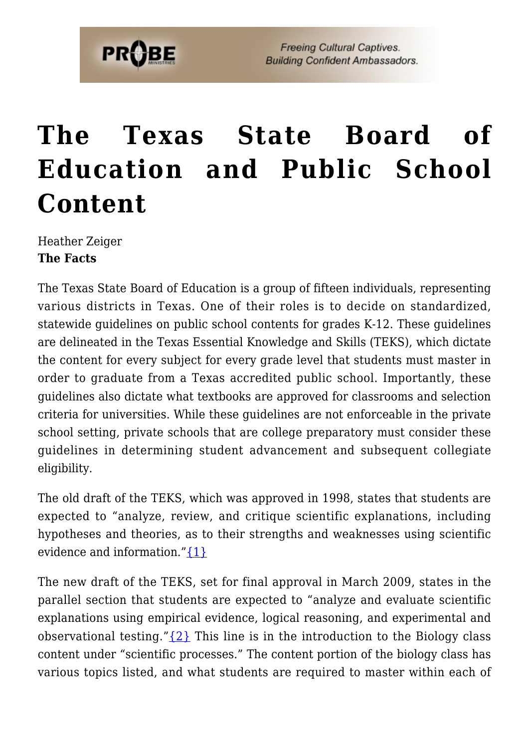# **[The Texas State Board of](https://probe.org/the-texas-state-board-of-education-and-public-school-content/) [Education and Public School](https://probe.org/the-texas-state-board-of-education-and-public-school-content/) [Content](https://probe.org/the-texas-state-board-of-education-and-public-school-content/)**

Heather Zeiger **The Facts**

The Texas State Board of Education is a group of fifteen individuals, representing various districts in Texas. One of their roles is to decide on standardized, statewide guidelines on public school contents for grades K-12. These guidelines are delineated in the Texas Essential Knowledge and Skills (TEKS), which dictate the content for every subject for every grade level that students must master in order to graduate from a Texas accredited public school. Importantly, these guidelines also dictate what textbooks are approved for classrooms and selection criteria for universities. While these guidelines are not enforceable in the private school setting, private schools that are college preparatory must consider these guidelines in determining student advancement and subsequent collegiate eligibility.

The old draft of the TEKS, which was approved in 1998, states that students are expected to "analyze, review, and critique scientific explanations, including hypotheses and theories, as to their strengths and weaknesses using scientific evidence and information." $\{1\}$ 

The new draft of the TEKS, set for final approval in March 2009, states in the parallel section that students are expected to "analyze and evaluate scientific explanations using empirical evidence, logical reasoning, and experimental and observational testing." $\{2\}$  This line is in the introduction to the Biology class content under "scientific processes." The content portion of the biology class has various topics listed, and what students are required to master within each of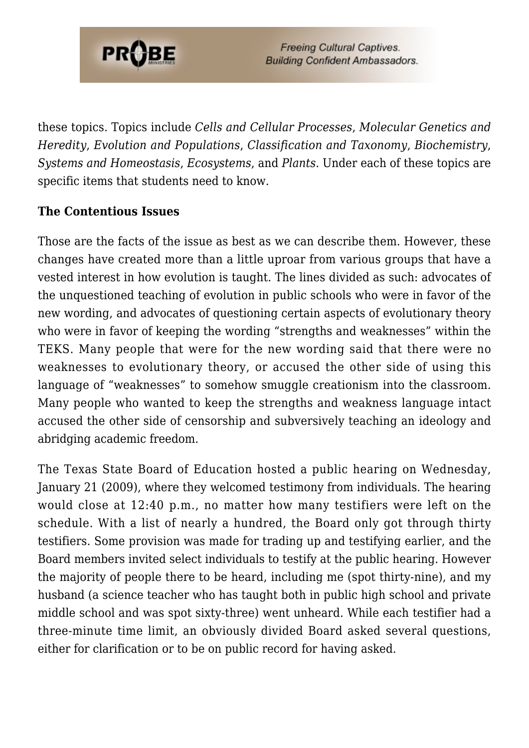

these topics. Topics include *Cells and Cellular Processes*, *Molecular Genetics and Heredity*, *Evolution and Populations*, *Classification and Taxonomy*, *Biochemistry*, *Systems and Homeostasis*, *Ecosystems*, and *Plants*. Under each of these topics are specific items that students need to know.

## **The Contentious Issues**

Those are the facts of the issue as best as we can describe them. However, these changes have created more than a little uproar from various groups that have a vested interest in how evolution is taught. The lines divided as such: advocates of the unquestioned teaching of evolution in public schools who were in favor of the new wording, and advocates of questioning certain aspects of evolutionary theory who were in favor of keeping the wording "strengths and weaknesses" within the TEKS. Many people that were for the new wording said that there were no weaknesses to evolutionary theory, or accused the other side of using this language of "weaknesses" to somehow smuggle creationism into the classroom. Many people who wanted to keep the strengths and weakness language intact accused the other side of censorship and subversively teaching an ideology and abridging academic freedom.

The Texas State Board of Education hosted a public hearing on Wednesday, January 21 (2009), where they welcomed testimony from individuals. The hearing would close at 12:40 p.m., no matter how many testifiers were left on the schedule. With a list of nearly a hundred, the Board only got through thirty testifiers. Some provision was made for trading up and testifying earlier, and the Board members invited select individuals to testify at the public hearing. However the majority of people there to be heard, including me (spot thirty-nine), and my husband (a science teacher who has taught both in public high school and private middle school and was spot sixty-three) went unheard. While each testifier had a three-minute time limit, an obviously divided Board asked several questions, either for clarification or to be on public record for having asked.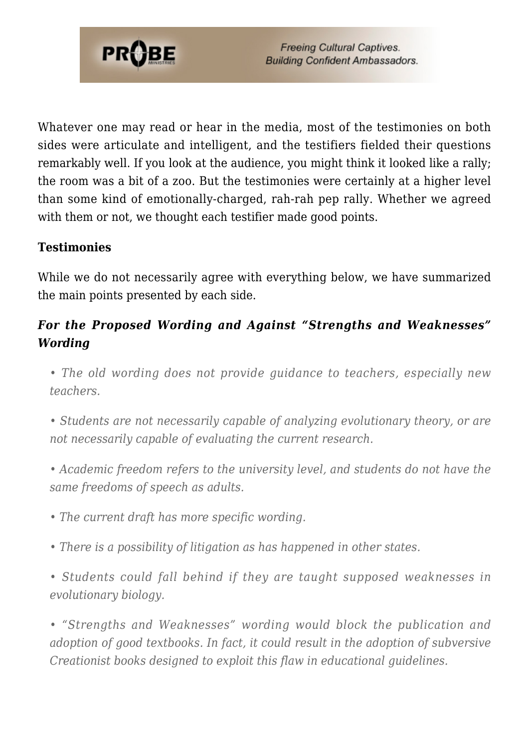

Whatever one may read or hear in the media, most of the testimonies on both sides were articulate and intelligent, and the testifiers fielded their questions remarkably well. If you look at the audience, you might think it looked like a rally; the room was a bit of a zoo. But the testimonies were certainly at a higher level than some kind of emotionally-charged, rah-rah pep rally. Whether we agreed with them or not, we thought each testifier made good points.

## **Testimonies**

While we do not necessarily agree with everything below, we have summarized the main points presented by each side.

# *For the Proposed Wording and Against "Strengths and Weaknesses" Wording*

*• The old wording does not provide guidance to teachers, especially new teachers.*

*• Students are not necessarily capable of analyzing evolutionary theory, or are not necessarily capable of evaluating the current research.*

*• Academic freedom refers to the university level, and students do not have the same freedoms of speech as adults.*

*• The current draft has more specific wording.*

*• There is a possibility of litigation as has happened in other states.*

*• Students could fall behind if they are taught supposed weaknesses in evolutionary biology.*

*• "Strengths and Weaknesses" wording would block the publication and adoption of good textbooks. In fact, it could result in the adoption of subversive Creationist books designed to exploit this flaw in educational guidelines.*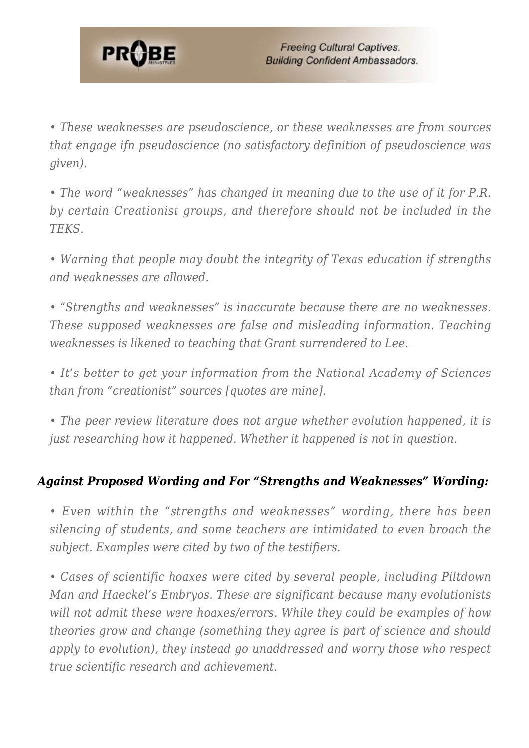

*• These weaknesses are pseudoscience, or these weaknesses are from sources that engage ifn pseudoscience (no satisfactory definition of pseudoscience was given).*

*• The word "weaknesses" has changed in meaning due to the use of it for P.R. by certain Creationist groups, and therefore should not be included in the TEKS.*

*• Warning that people may doubt the integrity of Texas education if strengths and weaknesses are allowed.*

*• "Strengths and weaknesses" is inaccurate because there are no weaknesses. These supposed weaknesses are false and misleading information. Teaching weaknesses is likened to teaching that Grant surrendered to Lee.*

*• It's better to get your information from the National Academy of Sciences than from "creationist" sources [quotes are mine].*

*• The peer review literature does not argue whether evolution happened, it is just researching how it happened. Whether it happened is not in question.*

# *Against Proposed Wording and For "Strengths and Weaknesses" Wording:*

*• Even within the "strengths and weaknesses" wording, there has been silencing of students, and some teachers are intimidated to even broach the subject. Examples were cited by two of the testifiers.*

*• Cases of scientific hoaxes were cited by several people, including Piltdown Man and Haeckel's Embryos. These are significant because many evolutionists will not admit these were hoaxes/errors. While they could be examples of how theories grow and change (something they agree is part of science and should apply to evolution), they instead go unaddressed and worry those who respect true scientific research and achievement.*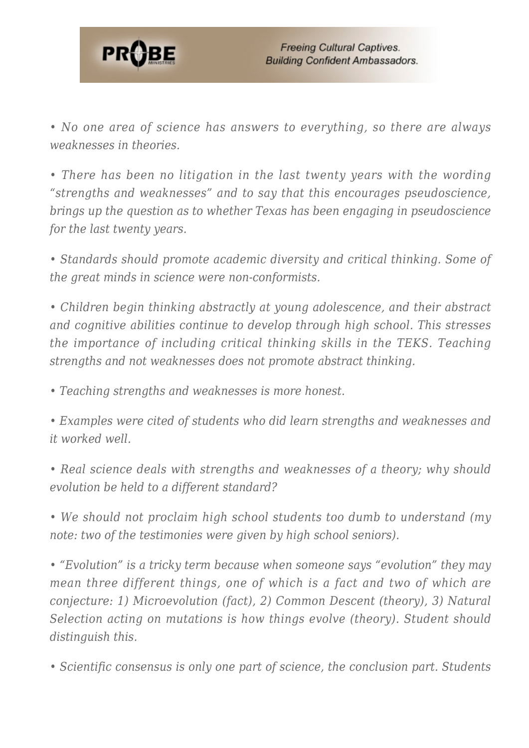

*• No one area of science has answers to everything, so there are always weaknesses in theories.*

*• There has been no litigation in the last twenty years with the wording "strengths and weaknesses" and to say that this encourages pseudoscience, brings up the question as to whether Texas has been engaging in pseudoscience for the last twenty years.*

*• Standards should promote academic diversity and critical thinking. Some of the great minds in science were non-conformists.*

*• Children begin thinking abstractly at young adolescence, and their abstract and cognitive abilities continue to develop through high school. This stresses the importance of including critical thinking skills in the TEKS. Teaching strengths and not weaknesses does not promote abstract thinking.*

*• Teaching strengths and weaknesses is more honest.*

*• Examples were cited of students who did learn strengths and weaknesses and it worked well.*

*• Real science deals with strengths and weaknesses of a theory; why should evolution be held to a different standard?*

*• We should not proclaim high school students too dumb to understand (my note: two of the testimonies were given by high school seniors).*

*• "Evolution" is a tricky term because when someone says "evolution" they may mean three different things, one of which is a fact and two of which are conjecture: 1) Microevolution (fact), 2) Common Descent (theory), 3) Natural Selection acting on mutations is how things evolve (theory). Student should distinguish this.*

*• Scientific consensus is only one part of science, the conclusion part. Students*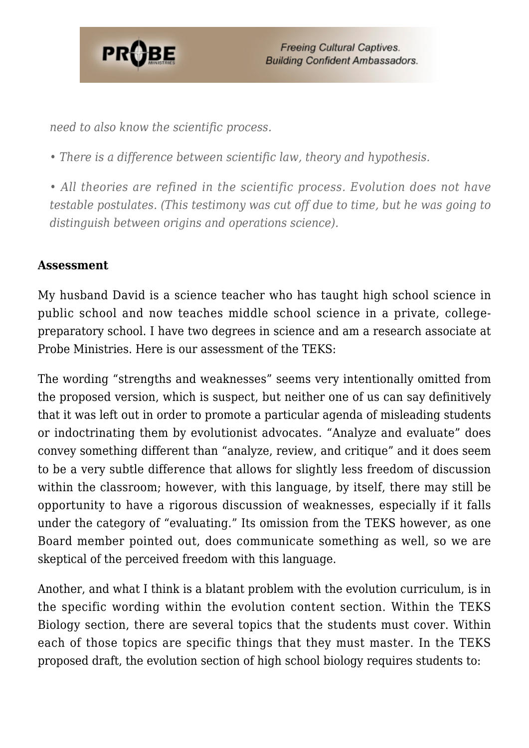

*need to also know the scientific process.*

*• There is a difference between scientific law, theory and hypothesis.*

*• All theories are refined in the scientific process. Evolution does not have testable postulates. (This testimony was cut off due to time, but he was going to distinguish between origins and operations science).*

#### **Assessment**

My husband David is a science teacher who has taught high school science in public school and now teaches middle school science in a private, collegepreparatory school. I have two degrees in science and am a research associate at Probe Ministries. Here is our assessment of the TEKS:

The wording "strengths and weaknesses" seems very intentionally omitted from the proposed version, which is suspect, but neither one of us can say definitively that it was left out in order to promote a particular agenda of misleading students or indoctrinating them by evolutionist advocates. "Analyze and evaluate" does convey something different than "analyze, review, and critique" and it does seem to be a very subtle difference that allows for slightly less freedom of discussion within the classroom; however, with this language, by itself, there may still be opportunity to have a rigorous discussion of weaknesses, especially if it falls under the category of "evaluating." Its omission from the TEKS however, as one Board member pointed out, does communicate something as well, so we are skeptical of the perceived freedom with this language.

Another, and what I think is a blatant problem with the evolution curriculum, is in the specific wording within the evolution content section. Within the TEKS Biology section, there are several topics that the students must cover. Within each of those topics are specific things that they must master. In the TEKS proposed draft, the evolution section of high school biology requires students to: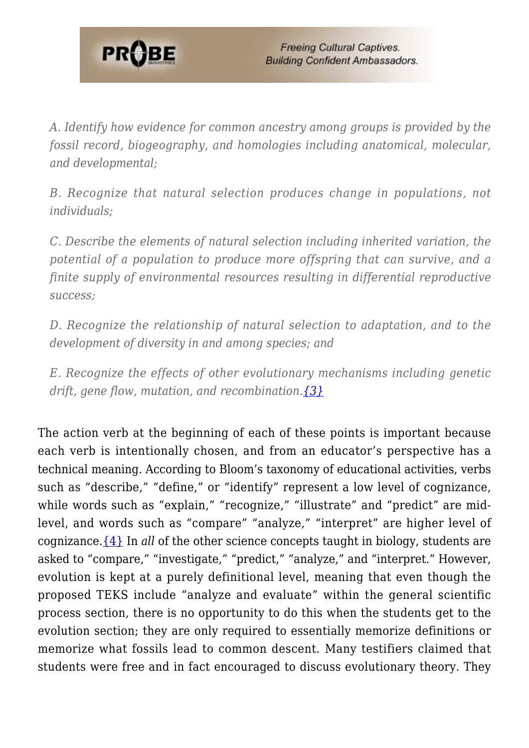

*A. Identify how evidence for common ancestry among groups is provided by the fossil record, biogeography, and homologies including anatomical, molecular, and developmental;*

*B. Recognize that natural selection produces change in populations, not individuals;*

*C. Describe the elements of natural selection including inherited variation, the potential of a population to produce more offspring that can survive, and a finite supply of environmental resources resulting in differential reproductive success;*

*D. Recognize the relationship of natural selection to adaptation, and to the development of diversity in and among species; and*

*E. Recognize the effects of other evolutionary mechanisms including genetic drift, gene flow, mutation, and recombination[.{3}](#page--1-0)*

The action verb at the beginning of each of these points is important because each verb is intentionally chosen, and from an educator's perspective has a technical meaning. According to Bloom's taxonomy of educational activities, verbs such as "describe," "define," or "identify" represent a low level of cognizance, while words such as "explain," "recognize," "illustrate" and "predict" are midlevel, and words such as "compare" "analyze," "interpret" are higher level of cognizance.[{4}](#page--1-0) In *all* of the other science concepts taught in biology, students are asked to "compare," "investigate," "predict," "analyze," and "interpret." However, evolution is kept at a purely definitional level, meaning that even though the proposed TEKS include "analyze and evaluate" within the general scientific process section, there is no opportunity to do this when the students get to the evolution section; they are only required to essentially memorize definitions or memorize what fossils lead to common descent. Many testifiers claimed that students were free and in fact encouraged to discuss evolutionary theory. They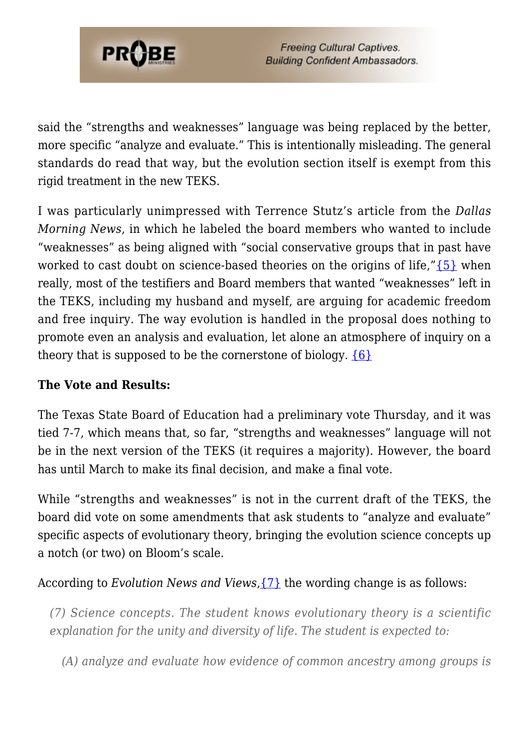

said the "strengths and weaknesses" language was being replaced by the better, more specific "analyze and evaluate." This is intentionally misleading. The general standards do read that way, but the evolution section itself is exempt from this rigid treatment in the new TEKS.

I was particularly unimpressed with Terrence Stutz's article from the *Dallas Morning News*, in which he labeled the board members who wanted to include "weaknesses" as being aligned with "social conservative groups that in past have worked to cast doubt on science-based theories on the origins of life," $\{5\}$  when really, most of the testifiers and Board members that wanted "weaknesses" left in the TEKS, including my husband and myself, are arguing for academic freedom and free inquiry. The way evolution is handled in the proposal does nothing to promote even an analysis and evaluation, let alone an atmosphere of inquiry on a theory that is supposed to be the cornerstone of biology.  $\{6\}$ 

## **The Vote and Results:**

The Texas State Board of Education had a preliminary vote Thursday, and it was tied 7-7, which means that, so far, "strengths and weaknesses" language will not be in the next version of the TEKS (it requires a majority). However, the board has until March to make its final decision, and make a final vote.

While "strengths and weaknesses" is not in the current draft of the TEKS, the board did vote on some amendments that ask students to "analyze and evaluate" specific aspects of evolutionary theory, bringing the evolution science concepts up a notch (or two) on Bloom's scale.

According to *Evolution News and Views*[,{7}](#page--1-0) the wording change is as follows:

*(7) Science concepts. The student knows evolutionary theory is a scientific explanation for the unity and diversity of life. The student is expected to:*

*(A) analyze and evaluate how evidence of common ancestry among groups is*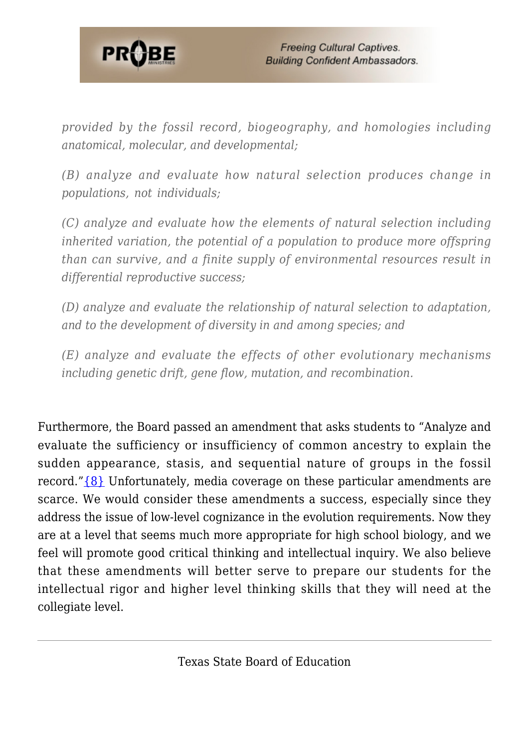

*provided by the fossil record, biogeography, and homologies including anatomical, molecular, and developmental;*

*(B) analyze and evaluate how natural selection produces change in populations, not individuals;*

*(C) analyze and evaluate how the elements of natural selection including inherited variation, the potential of a population to produce more offspring than can survive, and a finite supply of environmental resources result in differential reproductive success;*

*(D) analyze and evaluate the relationship of natural selection to adaptation, and to the development of diversity in and among species; and*

*(E) analyze and evaluate the effects of other evolutionary mechanisms including genetic drift, gene flow, mutation, and recombination.*

Furthermore, the Board passed an amendment that asks students to "Analyze and evaluate the sufficiency or insufficiency of common ancestry to explain the sudden appearance, stasis, and sequential nature of groups in the fossil record." $\{8\}$  Unfortunately, media coverage on these particular amendments are scarce. We would consider these amendments a success, especially since they address the issue of low-level cognizance in the evolution requirements. Now they are at a level that seems much more appropriate for high school biology, and we feel will promote good critical thinking and intellectual inquiry. We also believe that these amendments will better serve to prepare our students for the intellectual rigor and higher level thinking skills that they will need at the collegiate level.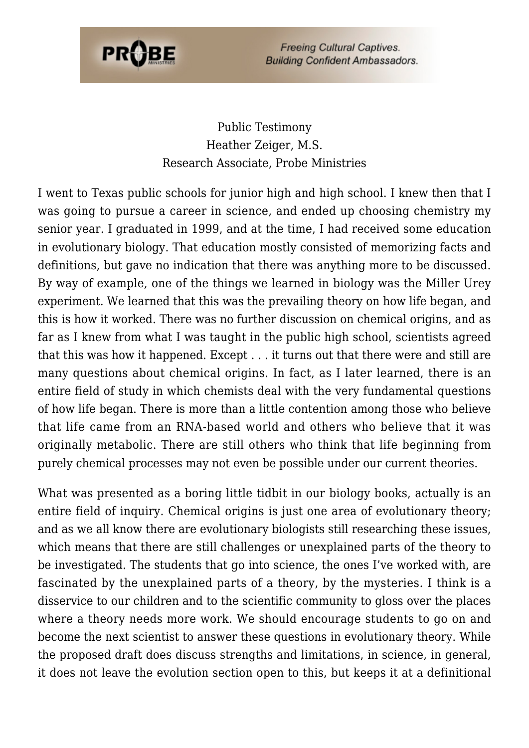

# Public Testimony Heather Zeiger, M.S. Research Associate, Probe Ministries

I went to Texas public schools for junior high and high school. I knew then that I was going to pursue a career in science, and ended up choosing chemistry my senior year. I graduated in 1999, and at the time, I had received some education in evolutionary biology. That education mostly consisted of memorizing facts and definitions, but gave no indication that there was anything more to be discussed. By way of example, one of the things we learned in biology was the Miller Urey experiment. We learned that this was the prevailing theory on how life began, and this is how it worked. There was no further discussion on chemical origins, and as far as I knew from what I was taught in the public high school, scientists agreed that this was how it happened. Except . . . it turns out that there were and still are many questions about chemical origins. In fact, as I later learned, there is an entire field of study in which chemists deal with the very fundamental questions of how life began. There is more than a little contention among those who believe that life came from an RNA-based world and others who believe that it was originally metabolic. There are still others who think that life beginning from purely chemical processes may not even be possible under our current theories.

What was presented as a boring little tidbit in our biology books, actually is an entire field of inquiry. Chemical origins is just one area of evolutionary theory; and as we all know there are evolutionary biologists still researching these issues, which means that there are still challenges or unexplained parts of the theory to be investigated. The students that go into science, the ones I've worked with, are fascinated by the unexplained parts of a theory, by the mysteries. I think is a disservice to our children and to the scientific community to gloss over the places where a theory needs more work. We should encourage students to go on and become the next scientist to answer these questions in evolutionary theory. While the proposed draft does discuss strengths and limitations, in science, in general, it does not leave the evolution section open to this, but keeps it at a definitional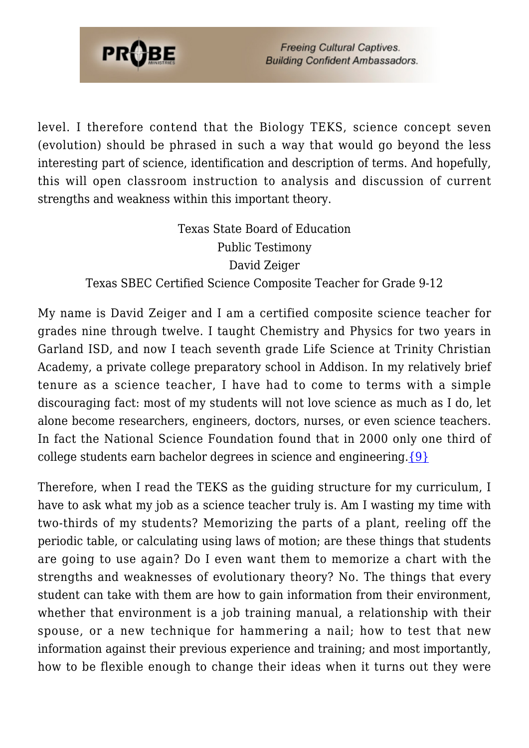

level. I therefore contend that the Biology TEKS, science concept seven (evolution) should be phrased in such a way that would go beyond the less interesting part of science, identification and description of terms. And hopefully, this will open classroom instruction to analysis and discussion of current strengths and weakness within this important theory.

> Texas State Board of Education Public Testimony David Zeiger Texas SBEC Certified Science Composite Teacher for Grade 9-12

My name is David Zeiger and I am a certified composite science teacher for grades nine through twelve. I taught Chemistry and Physics for two years in Garland ISD, and now I teach seventh grade Life Science at Trinity Christian Academy, a private college preparatory school in Addison. In my relatively brief tenure as a science teacher, I have had to come to terms with a simple discouraging fact: most of my students will not love science as much as I do, let alone become researchers, engineers, doctors, nurses, or even science teachers. In fact the National Science Foundation found that in 2000 only one third of college students earn bachelor degrees in science and engineering. $\{9\}$ 

Therefore, when I read the TEKS as the guiding structure for my curriculum, I have to ask what my job as a science teacher truly is. Am I wasting my time with two-thirds of my students? Memorizing the parts of a plant, reeling off the periodic table, or calculating using laws of motion; are these things that students are going to use again? Do I even want them to memorize a chart with the strengths and weaknesses of evolutionary theory? No. The things that every student can take with them are how to gain information from their environment, whether that environment is a job training manual, a relationship with their spouse, or a new technique for hammering a nail; how to test that new information against their previous experience and training; and most importantly, how to be flexible enough to change their ideas when it turns out they were